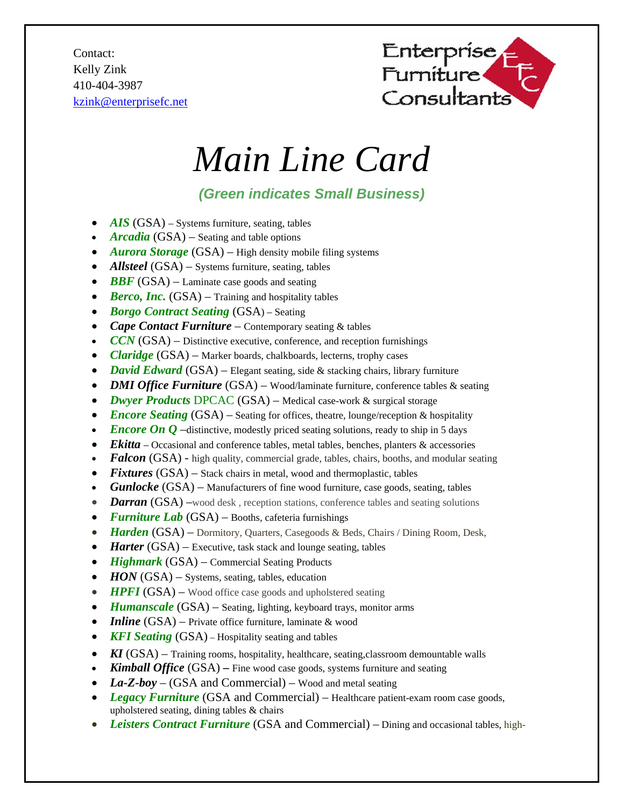Contact: Kelly Zink 410-404-3987 kzink@enterprisefc.net



## *Main Line Card*

## *(Green indicates Small Business)*

- *AIS* (GSA) Systems furniture, seating, tables
- *Arcadia* (GSA) Seating and table options
- *Aurora Storage* (GSA) High density mobile filing systems
- *Allsteel* (GSA) Systems furniture, seating, tables
- **BBF** (GSA) Laminate case goods and seating
- *Berco, Inc.* (GSA) Training and hospitality tables
- *Borgo Contract Seating* (GSA) Seating
- *Cape Contact Furniture* Contemporary seating & tables
- $CCN(GSA)$  Distinctive executive, conference, and reception furnishings
- *Claridge* (GSA) Marker boards, chalkboards, lecterns, trophy cases
- *David Edward* (GSA) Elegant seating, side & stacking chairs, library furniture
- *DMI Office Furniture* (GSA) Wood/laminate furniture, conference tables & seating
- *Dwyer Products* DPCAC (GSA) Medical case-work & surgical storage
- *Encore Seating* (GSA) Seating for offices, theatre, lounge/reception & hospitality
- *Encore On Q* –distinctive, modestly priced seating solutions, ready to ship in 5 days
- *Ekitta*  Occasional and conference tables, metal tables, benches, planters & accessories
- **Falcon** (GSA) high quality, commercial grade, tables, chairs, booths, and modular seating
- *Fixtures* (GSA) Stack chairs in metal, wood and thermoplastic, tables
- *Gunlocke* (GSA) Manufacturers of fine wood furniture, case goods, seating, tables
- *Darran* (GSA) –wood desk, reception stations, conference tables and seating solutions
- *Furniture Lab* (GSA) Booths, cafeteria furnishings
- *Harden* (GSA) Dormitory, Quarters, Casegoods & Beds, Chairs / Dining Room, Desk,
- *Harter* (GSA) Executive, task stack and lounge seating, tables
- *Highmark* (GSA) Commercial Seating Products
- *HON* (GSA) Systems, seating, tables, education
- **HPFI** (GSA) Wood office case goods and upholstered seating
- *Humanscale* (GSA) Seating, lighting, keyboard trays, monitor arms
- *Inline* (GSA) Private office furniture, laminate & wood
- **KFI Seating** (GSA) Hospitality seating and tables
- *KI* (GSA) Training rooms, hospitality, healthcare, seating, classroom demountable walls
- **Kimball Office** (GSA) Fine wood case goods, systems furniture and seating
- La-Z-boy (GSA and Commercial) Wood and metal seating
- Legacy Furniture *(GSA and Commercial)* Healthcare patient-exam room case goods, upholstered seating, dining tables & chairs
- *Leisters Contract Furniture* (GSA and Commercial) Dining and occasional tables, high-